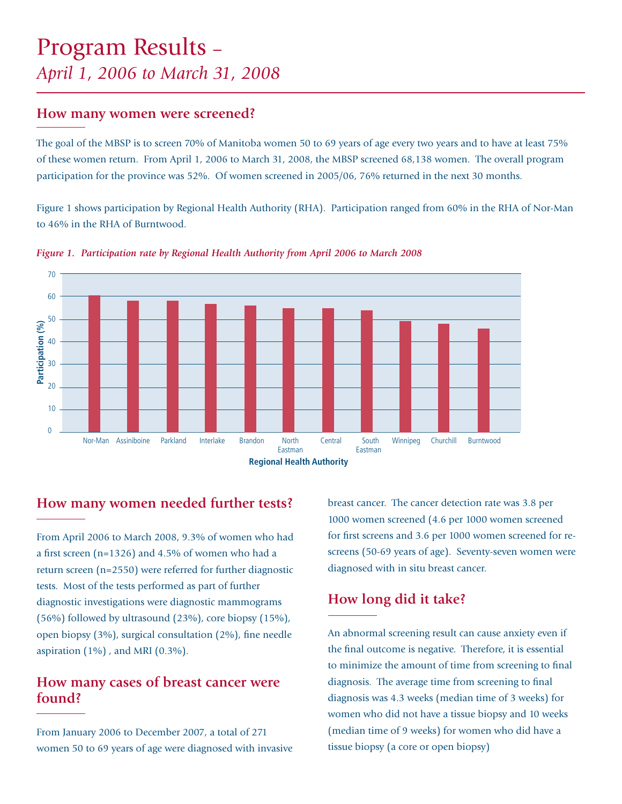# Program Results *– April 1, 2006 to March 31, 2008*

#### **How many women were screened?**

The goal of the MBSP is to screen 70% of Manitoba women 50 to 69 years of age every two years and to have at least 75% of these women return. From April 1, 2006 to March 31, 2008, the MBSP screened 68,138 women. The overall program participation for the province was 52%. Of women screened in 2005/06, 76% returned in the next 30 months.

Figure 1 shows participation by Regional Health Authority (RHA). Participation ranged from 60% in the RHA of Nor-Man to 46% in the RHA of Burntwood.



*Figure 1. Participation rate by Regional Health Authority from April 2006 to March 2008*

### **How many women needed further tests?**

From April 2006 to March 2008, 9.3% of women who had a first screen ( $n=1326$ ) and 4.5% of women who had a return screen (n=2550) were referred for further diagnostic tests. Most of the tests performed as part of further diagnostic investigations were diagnostic mammograms (56%) followed by ultrasound (23%), core biopsy (15%), open biopsy  $(3\%)$ , surgical consultation  $(2\%)$ , fine needle aspiration  $(1\%)$  , and MRI  $(0.3\%)$ .

## **How many cases of breast cancer were found?**

From January 2006 to December 2007, a total of 271 women 50 to 69 years of age were diagnosed with invasive breast cancer. The cancer detection rate was 3.8 per 1000 women screened (4.6 per 1000 women screened for first screens and 3.6 per 1000 women screened for rescreens (50-69 years of age). Seventy-seven women were diagnosed with in situ breast cancer.

## **How long did it take?**

An abnormal screening result can cause anxiety even if the final outcome is negative. Therefore, it is essential to minimize the amount of time from screening to final diagnosis. The average time from screening to final diagnosis was 4.3 weeks (median time of 3 weeks) for women who did not have a tissue biopsy and 10 weeks (median time of 9 weeks) for women who did have a tissue biopsy (a core or open biopsy)